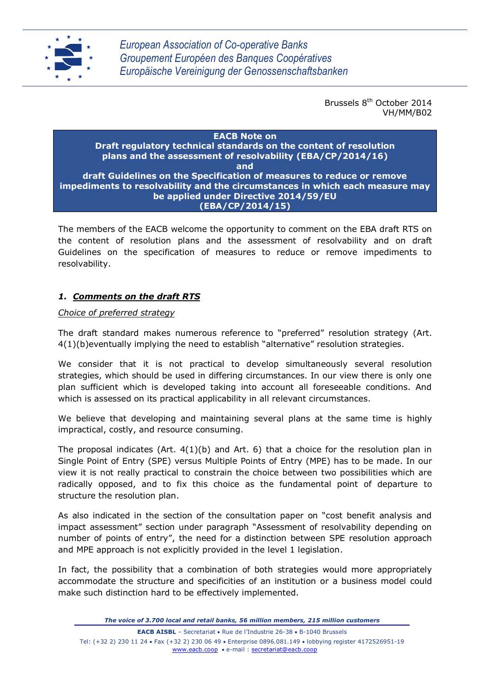

*European Association of Co-operative Banks Groupement Européen des Banques Coopératives Europäische Vereinigung der Genossenschaftsbanken*

> Brussels 8<sup>th</sup> October 2014 VH/MM/B02

#### **EACB Note on Draft regulatory technical standards on the content of resolution plans and the assessment of resolvability (EBA/CP/2014/16) and draft Guidelines on the Specification of measures to reduce or remove impediments to resolvability and the circumstances in which each measure may be applied under Directive 2014/59/EU (EBA/CP/2014/15)**

The members of the EACB welcome the opportunity to comment on the EBA draft RTS on the content of resolution plans and the assessment of resolvability and on draft Guidelines on the specification of measures to reduce or remove impediments to resolvability.

# *1. Comments on the draft RTS*

*Choice of preferred strategy*

The draft standard makes numerous reference to "preferred" resolution strategy (Art. 4(1)(b)eventually implying the need to establish "alternative" resolution strategies.

We consider that it is not practical to develop simultaneously several resolution strategies, which should be used in differing circumstances. In our view there is only one plan sufficient which is developed taking into account all foreseeable conditions. And which is assessed on its practical applicability in all relevant circumstances.

We believe that developing and maintaining several plans at the same time is highly impractical, costly, and resource consuming.

The proposal indicates  $(Art. 4(1)(b)$  and Art. 6) that a choice for the resolution plan in Single Point of Entry (SPE) versus Multiple Points of Entry (MPE) has to be made. In our view it is not really practical to constrain the choice between two possibilities which are radically opposed, and to fix this choice as the fundamental point of departure to structure the resolution plan.

As also indicated in the section of the consultation paper on "cost benefit analysis and impact assessment" section under paragraph "Assessment of resolvability depending on number of points of entry", the need for a distinction between SPE resolution approach and MPE approach is not explicitly provided in the level 1 legislation.

In fact, the possibility that a combination of both strategies would more appropriately accommodate the structure and specificities of an institution or a business model could make such distinction hard to be effectively implemented.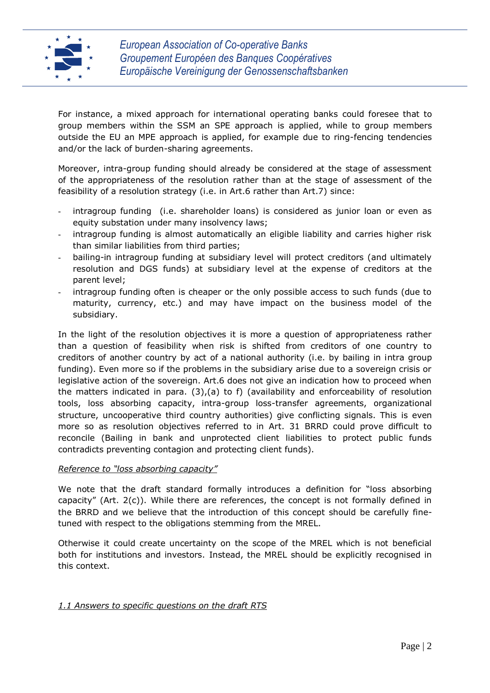

For instance, a mixed approach for international operating banks could foresee that to group members within the SSM an SPE approach is applied, while to group members outside the EU an MPE approach is applied, for example due to ring-fencing tendencies and/or the lack of burden-sharing agreements.

Moreover, intra-group funding should already be considered at the stage of assessment of the appropriateness of the resolution rather than at the stage of assessment of the feasibility of a resolution strategy (i.e. in Art.6 rather than Art.7) since:

- intragroup funding (i.e. shareholder loans) is considered as junior loan or even as equity substation under many insolvency laws;
- intragroup funding is almost automatically an eligible liability and carries higher risk than similar liabilities from third parties;
- bailing-in intragroup funding at subsidiary level will protect creditors (and ultimately resolution and DGS funds) at subsidiary level at the expense of creditors at the parent level;
- intragroup funding often is cheaper or the only possible access to such funds (due to maturity, currency, etc.) and may have impact on the business model of the subsidiary.

In the light of the resolution objectives it is more a question of appropriateness rather than a question of feasibility when risk is shifted from creditors of one country to creditors of another country by act of a national authority (i.e. by bailing in intra group funding). Even more so if the problems in the subsidiary arise due to a sovereign crisis or legislative action of the sovereign. Art.6 does not give an indication how to proceed when the matters indicated in para.  $(3)$ , (a) to f) (availability and enforceability of resolution tools, loss absorbing capacity, intra-group loss-transfer agreements, organizational structure, uncooperative third country authorities) give conflicting signals. This is even more so as resolution objectives referred to in Art. 31 BRRD could prove difficult to reconcile (Bailing in bank and unprotected client liabilities to protect public funds contradicts preventing contagion and protecting client funds).

### *Reference to "loss absorbing capacity"*

We note that the draft standard formally introduces a definition for "loss absorbing capacity" (Art. 2(c)). While there are references, the concept is not formally defined in the BRRD and we believe that the introduction of this concept should be carefully finetuned with respect to the obligations stemming from the MREL.

Otherwise it could create uncertainty on the scope of the MREL which is not beneficial both for institutions and investors. Instead, the MREL should be explicitly recognised in this context.

### *1.1 Answers to specific questions on the draft RTS*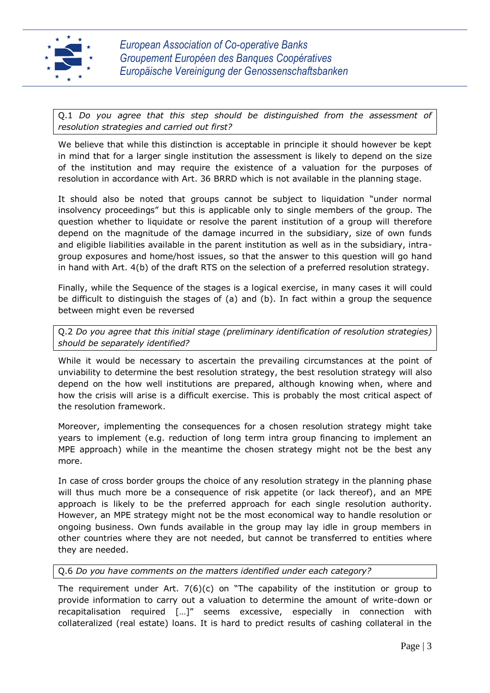

Q.1 *Do you agree that this step should be distinguished from the assessment of resolution strategies and carried out first?*

We believe that while this distinction is acceptable in principle it should however be kept in mind that for a larger single institution the assessment is likely to depend on the size of the institution and may require the existence of a valuation for the purposes of resolution in accordance with Art. 36 BRRD which is not available in the planning stage.

It should also be noted that groups cannot be subject to liquidation "under normal insolvency proceedings" but this is applicable only to single members of the group. The question whether to liquidate or resolve the parent institution of a group will therefore depend on the magnitude of the damage incurred in the subsidiary, size of own funds and eligible liabilities available in the parent institution as well as in the subsidiary, intragroup exposures and home/host issues, so that the answer to this question will go hand in hand with Art. 4(b) of the draft RTS on the selection of a preferred resolution strategy.

Finally, while the Sequence of the stages is a logical exercise, in many cases it will could be difficult to distinguish the stages of (a) and (b). In fact within a group the sequence between might even be reversed

## Q.2 *Do you agree that this initial stage (preliminary identification of resolution strategies) should be separately identified?*

While it would be necessary to ascertain the prevailing circumstances at the point of unviability to determine the best resolution strategy, the best resolution strategy will also depend on the how well institutions are prepared, although knowing when, where and how the crisis will arise is a difficult exercise. This is probably the most critical aspect of the resolution framework.

Moreover, implementing the consequences for a chosen resolution strategy might take years to implement (e.g. reduction of long term intra group financing to implement an MPE approach) while in the meantime the chosen strategy might not be the best any more.

In case of cross border groups the choice of any resolution strategy in the planning phase will thus much more be a consequence of risk appetite (or lack thereof), and an MPE approach is likely to be the preferred approach for each single resolution authority. However, an MPE strategy might not be the most economical way to handle resolution or ongoing business. Own funds available in the group may lay idle in group members in other countries where they are not needed, but cannot be transferred to entities where they are needed.

### Q.6 *Do you have comments on the matters identified under each category?*

The requirement under Art. 7(6)(c) on "The capability of the institution or group to provide information to carry out a valuation to determine the amount of write-down or recapitalisation required […]" seems excessive, especially in connection with collateralized (real estate) loans. It is hard to predict results of cashing collateral in the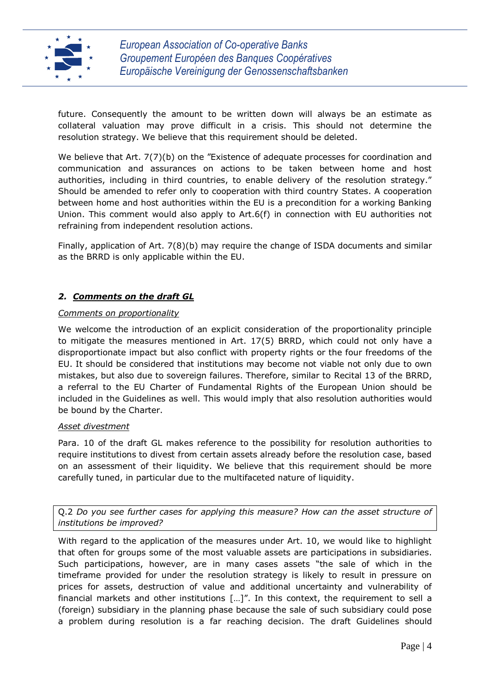

future. Consequently the amount to be written down will always be an estimate as collateral valuation may prove difficult in a crisis. This should not determine the resolution strategy. We believe that this requirement should be deleted.

We believe that Art. 7(7)(b) on the "Existence of adequate processes for coordination and communication and assurances on actions to be taken between home and host authorities, including in third countries, to enable delivery of the resolution strategy." Should be amended to refer only to cooperation with third country States. A cooperation between home and host authorities within the EU is a precondition for a working Banking Union. This comment would also apply to Art.6(f) in connection with EU authorities not refraining from independent resolution actions.

Finally, application of Art. 7(8)(b) may require the change of ISDA documents and similar as the BRRD is only applicable within the EU.

## *2. Comments on the draft GL*

#### *Comments on proportionality*

We welcome the introduction of an explicit consideration of the proportionality principle to mitigate the measures mentioned in Art. 17(5) BRRD, which could not only have a disproportionate impact but also conflict with property rights or the four freedoms of the EU. It should be considered that institutions may become not viable not only due to own mistakes, but also due to sovereign failures. Therefore, similar to Recital 13 of the BRRD, a referral to the EU Charter of Fundamental Rights of the European Union should be included in the Guidelines as well. This would imply that also resolution authorities would be bound by the Charter.

#### *Asset divestment*

Para. 10 of the draft GL makes reference to the possibility for resolution authorities to require institutions to divest from certain assets already before the resolution case, based on an assessment of their liquidity. We believe that this requirement should be more carefully tuned, in particular due to the multifaceted nature of liquidity.

Q.2 *Do you see further cases for applying this measure? How can the asset structure of institutions be improved?*

With regard to the application of the measures under Art. 10, we would like to highlight that often for groups some of the most valuable assets are participations in subsidiaries. Such participations, however, are in many cases assets "the sale of which in the timeframe provided for under the resolution strategy is likely to result in pressure on prices for assets, destruction of value and additional uncertainty and vulnerability of financial markets and other institutions […]". In this context, the requirement to sell a (foreign) subsidiary in the planning phase because the sale of such subsidiary could pose a problem during resolution is a far reaching decision. The draft Guidelines should